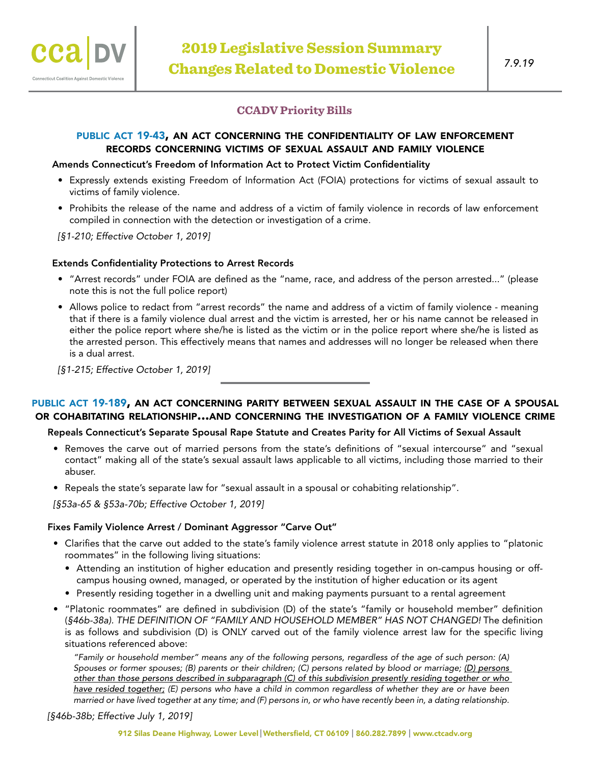

# **CCADV Priority Bills**

# public act [19-43](https://www.cga.ct.gov/2019/ACT/pa/pdf/2019PA-00043-R00SB-01105-PA.pdf), an act concerning the confidentiality of law enforcement records concerning victims of sexual assault and family violence

### Amends Connecticut's Freedom of Information Act to Protect Victim Confidentiality

- Expressly extends existing Freedom of Information Act (FOIA) protections for victims of sexual assault to victims of family violence.
- Prohibits the release of the name and address of a victim of family violence in records of law enforcement compiled in connection with the detection or investigation of a crime.

*[§1-210; Effective October 1, 2019]*

### Extends Confidentiality Protections to Arrest Records

- "Arrest records" under FOIA are defined as the "name, race, and address of the person arrested..." (please note this is not the full police report)
- Allows police to redact from "arrest records" the name and address of a victim of family violence meaning that if there is a family violence dual arrest and the victim is arrested, her or his name cannot be released in either the police report where she/he is listed as the victim or in the police report where she/he is listed as the arrested person. This effectively means that names and addresses will no longer be released when there is a dual arrest.

*[§1-215; Effective October 1, 2019]*

# public act [19-189](https://www.cga.ct.gov/2019/ACT/pa/pdf/2019PA-00189-R00HB-07396-PA.pdf), an act concerning parity between sexual assault in the case of a spousal or cohabitating relationship...and concerning the investigation of a family violence crime

## Repeals Connecticut's Separate Spousal Rape Statute and Creates Parity for All Victims of Sexual Assault

- Removes the carve out of married persons from the state's definitions of "sexual intercourse" and "sexual contact" making all of the state's sexual assault laws applicable to all victims, including those married to their abuser.
- Repeals the state's separate law for "sexual assault in a spousal or cohabiting relationship".

*[§53a-65 & §53a-70b; Effective October 1, 2019]*

### Fixes Family Violence Arrest / Dominant Aggressor "Carve Out"

- Clarifies that the carve out added to the state's family violence arrest statute in 2018 only applies to "platonic roommates" in the following living situations:
	- Attending an institution of higher education and presently residing together in on-campus housing or offcampus housing owned, managed, or operated by the institution of higher education or its agent
	- Presently residing together in a dwelling unit and making payments pursuant to a rental agreement
- "Platonic roommates" are defined in subdivision (D) of the state's "family or household member" definition (*§46b-38a). THE DEFINITION OF "FAMILY AND HOUSEHOLD MEMBER" HAS NOT CHANGED!* The definition is as follows and subdivision (D) is ONLY carved out of the family violence arrest law for the specific living situations referenced above:

*"Family or household member" means any of the following persons, regardless of the age of such person: (A) Spouses or former spouses; (B) parents or their children; (C) persons related by blood or marriage; (D) persons other than those persons described in subparagraph (C) of this subdivision presently residing together or who have resided together; (E) persons who have a child in common regardless of whether they are or have been married or have lived together at any time; and (F) persons in, or who have recently been in, a dating relationship.*

*[§46b-38b; Effective July 1, 2019]*